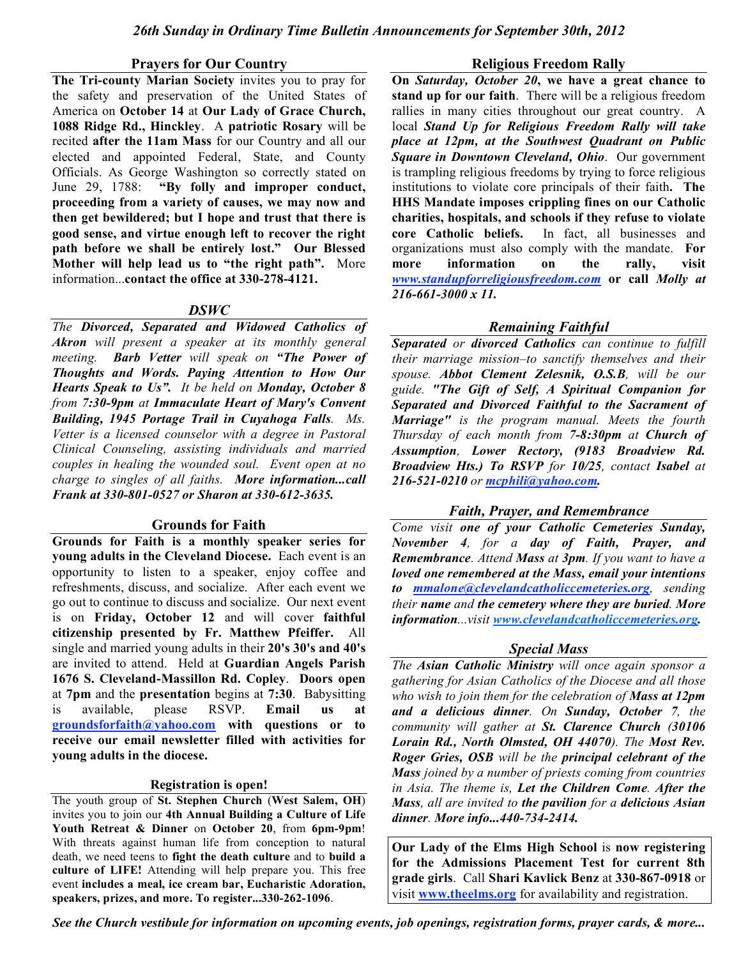#### **Prayers for Our Country**

**The Tri-county Marian Society** invites you to pray for the safety and preservation of the United States of America on **October 14** at **Our Lady of Grace Church, 1088 Ridge Rd., Hinckley**. A **patriotic Rosary** will be recited **after the 11am Mass** for our Country and all our elected and appointed Federal, State, and County Officials. As George Washington so correctly stated on June 29, 1788: **"By folly and improper conduct, proceeding from a variety of causes, we may now and then get bewildered; but I hope and trust that there is good sense, and virtue enough left to recover the right path before we shall be entirely lost." Our Blessed Mother will help lead us to "the right path".** More information...**contact the office at 330-278-4121.**

#### *DSWC*

*The Divorced, Separated and Widowed Catholics of Akron will present a speaker at its monthly general meeting. Barb Vetter will speak on "The Power of Thoughts and Words. Paying Attention to How Our Hearts Speak to Us". It be held on Monday, October 8 from 7:30-9pm at Immaculate Heart of Mary's Convent Building, 1945 Portage Trail in Cuyahoga Falls. Ms. Vetter is a licensed counselor with a degree in Pastoral Clinical Counseling, assisting individuals and married couples in healing the wounded soul. Event open at no charge to singles of all faiths. More information...call Frank at 330-801-0527 or Sharon at 330-612-3635.*

#### **Grounds for Faith**

**Grounds for Faith is a monthly speaker series for young adults in the Cleveland Diocese.** Each event is an opportunity to listen to a speaker, enjoy coffee and refreshments, discuss, and socialize. After each event we go out to continue to discuss and socialize. Our next event is on **Friday, October 12** and will cover **faithful citizenship presented by Fr. Matthew Pfeiffer.** All single and married young adults in their **20's 30's and 40's** are invited to attend. Held at **Guardian Angels Parish 1676 S. Cleveland-Massillon Rd. Copley**. **Doors open** at **7pm** and the **presentation** begins at **7:30**. Babysitting is available, please RSVP. **Email us at groundsforfaith@yahoo.com with questions or to receive our email newsletter filled with activities for young adults in the diocese.**

#### **Registration is open!**

The youth group of **St. Stephen Church** (**West Salem, OH**) invites you to join our **4th Annual Building a Culture of Life Youth Retreat & Dinner** on **October 20**, from **6pm-9pm**! With threats against human life from conception to natural death, we need teens to **fight the death culture** and to **build a culture of LIFE!** Attending will help prepare you. This free event **includes a meal, ice cream bar, Eucharistic Adoration, speakers, prizes, and more. To register...330-262-1096**.

#### **Religious Freedom Rally**

**On** *Saturday, October 20***, we have a great chance to stand up for our faith**. There will be a religious freedom rallies in many cities throughout our great country. A local *Stand Up for Religious Freedom Rally will take place at 12pm, at the Southwest Quadrant on Public Square in Downtown Cleveland, Ohio*. Our government is trampling religious freedoms by trying to force religious institutions to violate core principals of their faith**. The HHS Mandate imposes crippling fines on our Catholic charities, hospitals, and schools if they refuse to violate core Catholic beliefs.** In fact, all businesses and organizations must also comply with the mandate. **For more information on the rally, visit**  *www.standupforreligiousfreedom.com* **or call** *Molly at 216-661-3000 x 11.*

## *Remaining Faithful*

*Separated or divorced Catholics can continue to fulfill their marriage mission–to sanctify themselves and their spouse. Abbot Clement Zelesnik, O.S.B, will be our guide. "The Gift of Self, A Spiritual Companion for Separated and Divorced Faithful to the Sacrament of Marriage" is the program manual. Meets the fourth Thursday of each month from 7-8:30pm at Church of Assumption, Lower Rectory, (9183 Broadview Rd. Broadview Hts.) To RSVP for 10/25, contact Isabel at 216-521-0210 or mcphili@yahoo.com.*

#### *Faith, Prayer, and Remembrance*

*Come visit one of your Catholic Cemeteries Sunday, November 4, for a day of Faith, Prayer, and Remembrance. Attend Mass at 3pm. If you want to have a loved one remembered at the Mass, email your intentions to mmalone@clevelandcatholiccemeteries.org, sending their name and the cemetery where they are buried. More information...visit www.clevelandcatholiccemeteries.org.*

#### *Special Mass*

*The Asian Catholic Ministry will once again sponsor a gathering for Asian Catholics of the Diocese and all those who wish to join them for the celebration of Mass at 12pm and a delicious dinner. On Sunday, October 7, the community will gather at St. Clarence Church (30106 Lorain Rd., North Olmsted, OH 44070). The Most Rev. Roger Gries, OSB will be the principal celebrant of the Mass joined by a number of priests coming from countries in Asia. The theme is, Let the Children Come. After the Mass, all are invited to the pavilion for a delicious Asian dinner. More info...440-734-2414.*

**Our Lady of the Elms High School** is **now registering for the Admissions Placement Test for current 8th grade girls**. Call **Shari Kavlick Benz** at **330-867-0918** or visit **www.theelms.org** for availability and registration.

*See the Church vestibule for information on upcoming events, job openings, registration forms, prayer cards, & more...*